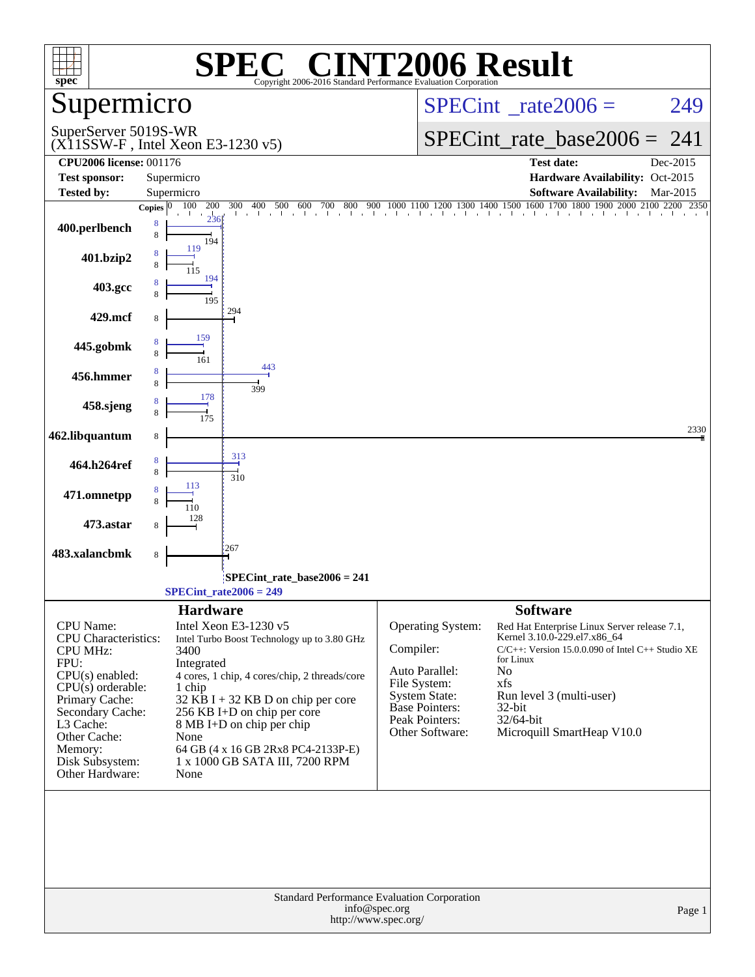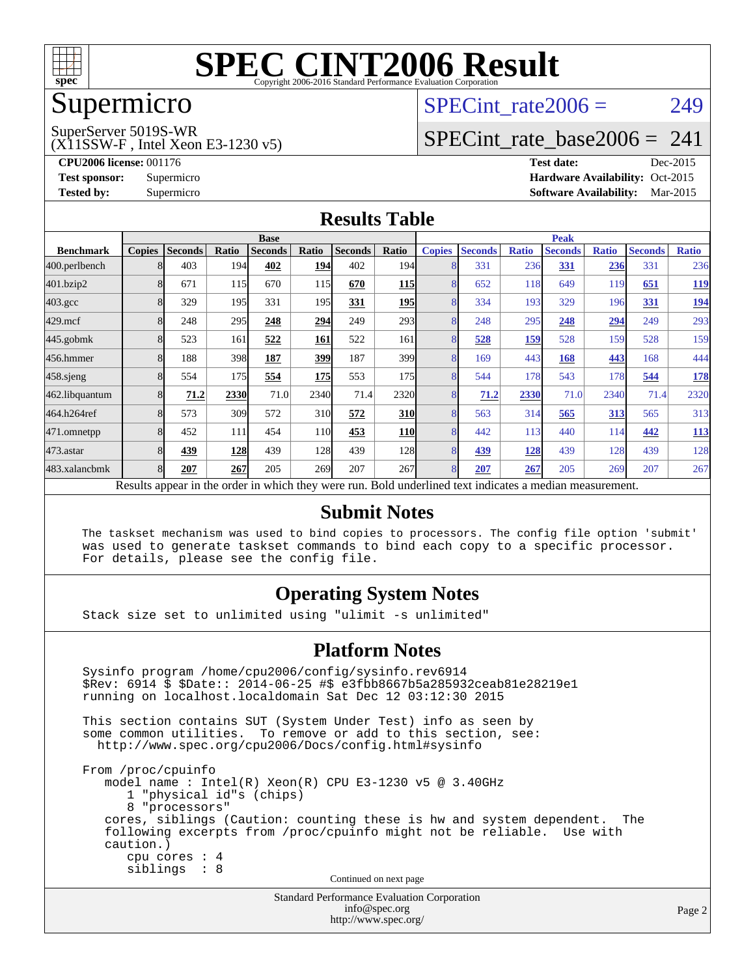

# Supermicro

#### SuperServer 5019S-WR

(X11SSW-F , Intel Xeon E3-1230 v5)

SPECint rate $2006 = 249$ 

## [SPECint\\_rate\\_base2006 =](http://www.spec.org/auto/cpu2006/Docs/result-fields.html#SPECintratebase2006) 241

**[CPU2006 license:](http://www.spec.org/auto/cpu2006/Docs/result-fields.html#CPU2006license)** 001176 **[Test date:](http://www.spec.org/auto/cpu2006/Docs/result-fields.html#Testdate)** Dec-2015 **[Test sponsor:](http://www.spec.org/auto/cpu2006/Docs/result-fields.html#Testsponsor)** Supermicro Supermicro **[Hardware Availability:](http://www.spec.org/auto/cpu2006/Docs/result-fields.html#HardwareAvailability)** Oct-2015 **[Tested by:](http://www.spec.org/auto/cpu2006/Docs/result-fields.html#Testedby)** Supermicro **Supermicro [Software Availability:](http://www.spec.org/auto/cpu2006/Docs/result-fields.html#SoftwareAvailability)** Mar-2015

#### **[Results Table](http://www.spec.org/auto/cpu2006/Docs/result-fields.html#ResultsTable)**

|                    | <b>Base</b>   |                |       |                                                                                                          |                 |                |                  | <b>Peak</b>   |                |              |                |              |                |              |
|--------------------|---------------|----------------|-------|----------------------------------------------------------------------------------------------------------|-----------------|----------------|------------------|---------------|----------------|--------------|----------------|--------------|----------------|--------------|
| <b>Benchmark</b>   | <b>Copies</b> | <b>Seconds</b> | Ratio | <b>Seconds</b>                                                                                           | Ratio           | <b>Seconds</b> | Ratio            | <b>Copies</b> | <b>Seconds</b> | <b>Ratio</b> | <b>Seconds</b> | <b>Ratio</b> | <b>Seconds</b> | <b>Ratio</b> |
| 400.perlbench      |               | 403            | 194   | 402                                                                                                      | 194             | 402            | 194I             | 8             | 331            | 236          | 331            | 236          | 331            | 236          |
| 401.bzip2          |               | 671            | 115   | 670                                                                                                      | 115             | 670            | <u>115</u>       | 8             | 652            | 118          | 649            | 119          | 651            | <u>119</u>   |
| $403.\mathrm{gcc}$ |               | 329            | 195   | 331                                                                                                      | 195             | 331            | <b>195</b>       | 8             | 334            | 193          | 329            | 196          | 331            | <u>194</u>   |
| $429$ .mcf         |               | 248            | 295   | 248                                                                                                      | 294             | 249            | 293              | 8             | 248            | 295          | 248            | 294          | 249            | 293          |
| $445$ .gobm $k$    |               | 523            | 161   | 522                                                                                                      | 161             | 522            | 161              | 8             | 528            | 159          | 528            | 159          | 528            | 159          |
| 456.hmmer          |               | 188            | 398   | 187                                                                                                      | 399             | 187            | 399 <sub>l</sub> | 8             | 169            | 443          | 168            | 443          | 168            | 444          |
| $458$ .sjeng       | 8             | 554            | 175   | 554                                                                                                      | 175             | 553            | 175              | 8             | 544            | 178          | 543            | 178          | 544            | <u>178</u>   |
| 462.libquantum     |               | 71.2           | 2330  | 71.0                                                                                                     | 2340            | 71.4           | 2320             | 8             | 71.2           | 2330         | 71.0           | 2340         | 71.4           | 2320         |
| 464.h264ref        |               | 573            | 309   | 572                                                                                                      | 31 <sub>0</sub> | 572            | <b>310</b>       | 8             | 563            | 314          | 565            | <u>313</u>   | 565            | 313          |
| 471.omnetpp        |               | 452            | 111   | 454                                                                                                      | 110             | 453            | <b>110</b>       | 8             | 442            | 113          | 440            | 114          | 442            | <u>113</u>   |
| $473$ . astar      |               | 439            | 128   | 439                                                                                                      | 128             | 439            | <b>128</b>       | 8             | 439            | 128          | 439            | 128          | 439            | 128          |
| 483.xalancbmk      | 8             | 207            | 267   | 205                                                                                                      | 269             | 207            | 267              | 8             | 207            | 267          | 205            | 269          | 207            | 267          |
|                    |               |                |       | Results appear in the order in which they were run. Bold underlined text indicates a median measurement. |                 |                |                  |               |                |              |                |              |                |              |

#### **[Submit Notes](http://www.spec.org/auto/cpu2006/Docs/result-fields.html#SubmitNotes)**

 The taskset mechanism was used to bind copies to processors. The config file option 'submit' was used to generate taskset commands to bind each copy to a specific processor. For details, please see the config file.

### **[Operating System Notes](http://www.spec.org/auto/cpu2006/Docs/result-fields.html#OperatingSystemNotes)**

Stack size set to unlimited using "ulimit -s unlimited"

#### **[Platform Notes](http://www.spec.org/auto/cpu2006/Docs/result-fields.html#PlatformNotes)**

 Sysinfo program /home/cpu2006/config/sysinfo.rev6914 \$Rev: 6914 \$ \$Date:: 2014-06-25 #\$ e3fbb8667b5a285932ceab81e28219e1 running on localhost.localdomain Sat Dec 12 03:12:30 2015 This section contains SUT (System Under Test) info as seen by some common utilities. To remove or add to this section, see: <http://www.spec.org/cpu2006/Docs/config.html#sysinfo> From /proc/cpuinfo model name : Intel(R) Xeon(R) CPU E3-1230 v5 @ 3.40GHz 1 "physical id"s (chips) 8 "processors" cores, siblings (Caution: counting these is hw and system dependent. The following excerpts from /proc/cpuinfo might not be reliable. Use with caution.) cpu cores : 4 siblings : 8 Continued on next page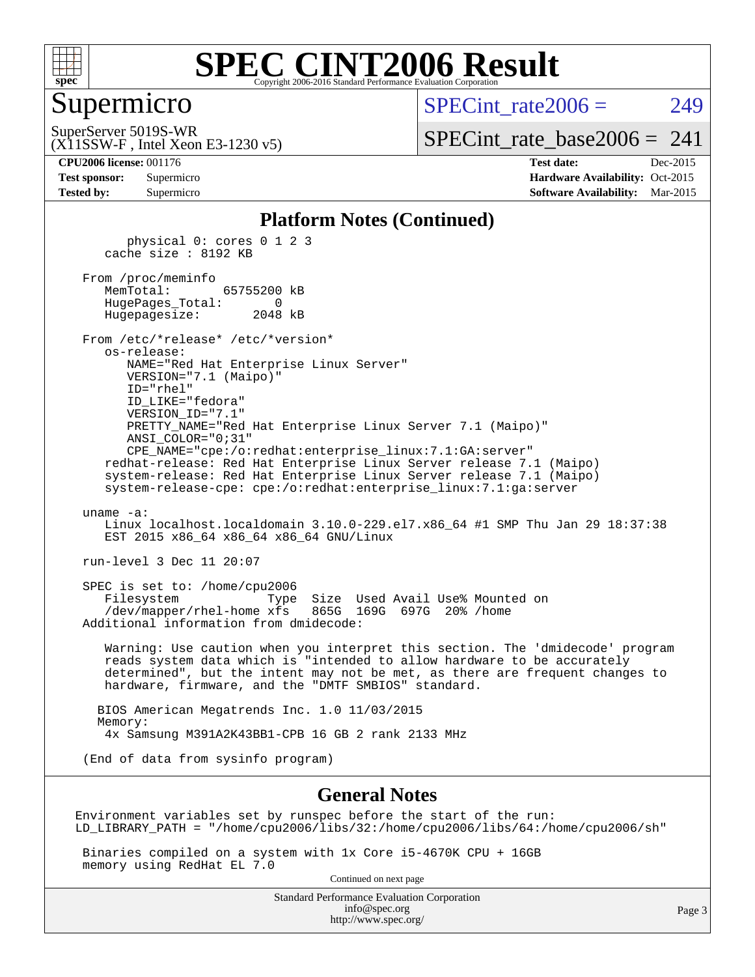

## Supermicro

 $SPECint rate2006 = 249$ 

(X11SSW-F , Intel Xeon E3-1230 v5) SuperServer 5019S-WR

[SPECint\\_rate\\_base2006 =](http://www.spec.org/auto/cpu2006/Docs/result-fields.html#SPECintratebase2006)  $241$ 

**[CPU2006 license:](http://www.spec.org/auto/cpu2006/Docs/result-fields.html#CPU2006license)** 001176 **[Test date:](http://www.spec.org/auto/cpu2006/Docs/result-fields.html#Testdate)** Dec-2015 **[Test sponsor:](http://www.spec.org/auto/cpu2006/Docs/result-fields.html#Testsponsor)** Supermicro Supermicro **[Hardware Availability:](http://www.spec.org/auto/cpu2006/Docs/result-fields.html#HardwareAvailability)** Oct-2015 **[Tested by:](http://www.spec.org/auto/cpu2006/Docs/result-fields.html#Testedby)** Supermicro **Supermicro [Software Availability:](http://www.spec.org/auto/cpu2006/Docs/result-fields.html#SoftwareAvailability)** Mar-2015

#### **[Platform Notes \(Continued\)](http://www.spec.org/auto/cpu2006/Docs/result-fields.html#PlatformNotes)**

 physical 0: cores 0 1 2 3 cache size : 8192 KB

 From /proc/meminfo MemTotal: 65755200 kB HugePages\_Total: 0 Hugepagesize: 2048 kB

 From /etc/\*release\* /etc/\*version\* os-release: NAME="Red Hat Enterprise Linux Server" VERSION="7.1 (Maipo)"

 ID="rhel" ID\_LIKE="fedora" VERSION\_ID="7.1" PRETTY\_NAME="Red Hat Enterprise Linux Server 7.1 (Maipo)" ANSI\_COLOR="0;31" CPE\_NAME="cpe:/o:redhat:enterprise\_linux:7.1:GA:server"

 redhat-release: Red Hat Enterprise Linux Server release 7.1 (Maipo) system-release: Red Hat Enterprise Linux Server release 7.1 (Maipo) system-release-cpe: cpe:/o:redhat:enterprise\_linux:7.1:ga:server

uname -a:

 Linux localhost.localdomain 3.10.0-229.el7.x86\_64 #1 SMP Thu Jan 29 18:37:38 EST 2015 x86 64 x86 64 x86 64 GNU/Linux

run-level 3 Dec 11 20:07

 SPEC is set to: /home/cpu2006 Filesystem Type Size Used Avail Use% Mounted on /dev/mapper/rhel-home xfs 865G 169G 697G 20% /home Additional information from dmidecode:

 Warning: Use caution when you interpret this section. The 'dmidecode' program reads system data which is "intended to allow hardware to be accurately determined", but the intent may not be met, as there are frequent changes to hardware, firmware, and the "DMTF SMBIOS" standard.

 BIOS American Megatrends Inc. 1.0 11/03/2015 Memory: 4x Samsung M391A2K43BB1-CPB 16 GB 2 rank 2133 MHz

(End of data from sysinfo program)

#### **[General Notes](http://www.spec.org/auto/cpu2006/Docs/result-fields.html#GeneralNotes)**

Environment variables set by runspec before the start of the run: LD\_LIBRARY\_PATH = "/home/cpu2006/libs/32:/home/cpu2006/libs/64:/home/cpu2006/sh"

 Binaries compiled on a system with 1x Core i5-4670K CPU + 16GB memory using RedHat EL 7.0

Continued on next page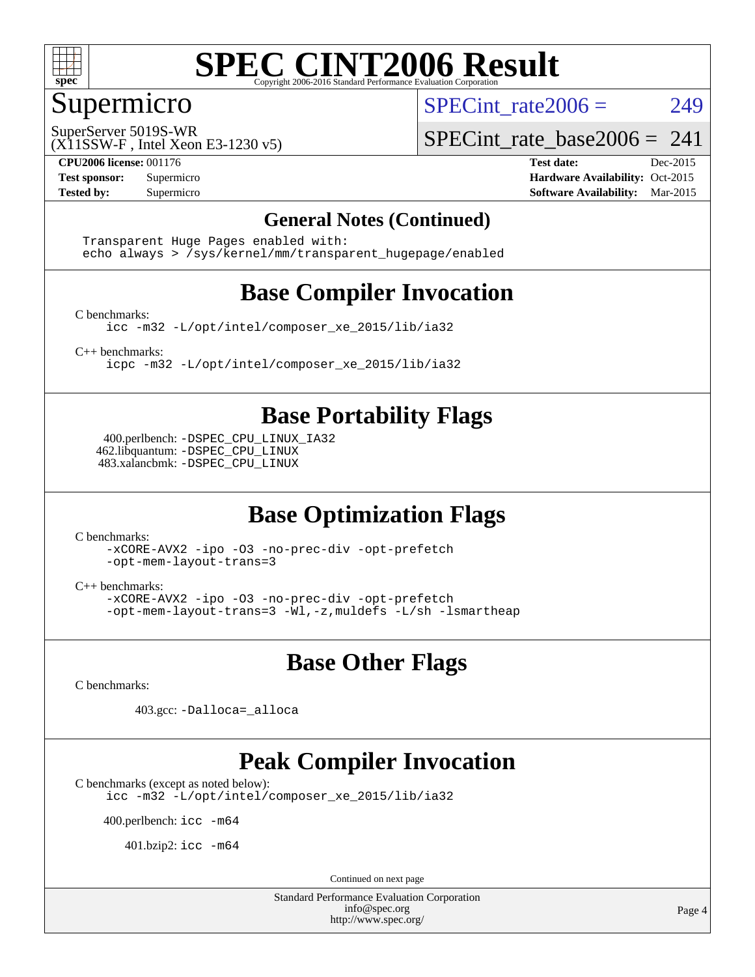

## Supermicro

SPECint rate $2006 = 249$ 

(X11SSW-F , Intel Xeon E3-1230 v5) SuperServer 5019S-WR

SPECint rate base2006 =  $241$ 

**[CPU2006 license:](http://www.spec.org/auto/cpu2006/Docs/result-fields.html#CPU2006license)** 001176 **[Test date:](http://www.spec.org/auto/cpu2006/Docs/result-fields.html#Testdate)** Dec-2015 **[Test sponsor:](http://www.spec.org/auto/cpu2006/Docs/result-fields.html#Testsponsor)** Supermicro Supermicro **[Hardware Availability:](http://www.spec.org/auto/cpu2006/Docs/result-fields.html#HardwareAvailability)** Oct-2015 **[Tested by:](http://www.spec.org/auto/cpu2006/Docs/result-fields.html#Testedby)** Supermicro **Supermicro [Software Availability:](http://www.spec.org/auto/cpu2006/Docs/result-fields.html#SoftwareAvailability)** Mar-2015

#### **[General Notes \(Continued\)](http://www.spec.org/auto/cpu2006/Docs/result-fields.html#GeneralNotes)**

 Transparent Huge Pages enabled with: echo always > /sys/kernel/mm/transparent\_hugepage/enabled

# **[Base Compiler Invocation](http://www.spec.org/auto/cpu2006/Docs/result-fields.html#BaseCompilerInvocation)**

[C benchmarks](http://www.spec.org/auto/cpu2006/Docs/result-fields.html#Cbenchmarks):

[icc -m32 -L/opt/intel/composer\\_xe\\_2015/lib/ia32](http://www.spec.org/cpu2006/results/res2016q1/cpu2006-20151217-38472.flags.html#user_CCbase_intel_icc_011b86df29f8c679b747245588698a4d)

[C++ benchmarks:](http://www.spec.org/auto/cpu2006/Docs/result-fields.html#CXXbenchmarks)

[icpc -m32 -L/opt/intel/composer\\_xe\\_2015/lib/ia32](http://www.spec.org/cpu2006/results/res2016q1/cpu2006-20151217-38472.flags.html#user_CXXbase_intel_icpc_c2c99686a1a582c3e0de0b4806b02cea)

## **[Base Portability Flags](http://www.spec.org/auto/cpu2006/Docs/result-fields.html#BasePortabilityFlags)**

 400.perlbench: [-DSPEC\\_CPU\\_LINUX\\_IA32](http://www.spec.org/cpu2006/results/res2016q1/cpu2006-20151217-38472.flags.html#b400.perlbench_baseCPORTABILITY_DSPEC_CPU_LINUX_IA32) 462.libquantum: [-DSPEC\\_CPU\\_LINUX](http://www.spec.org/cpu2006/results/res2016q1/cpu2006-20151217-38472.flags.html#b462.libquantum_baseCPORTABILITY_DSPEC_CPU_LINUX) 483.xalancbmk: [-DSPEC\\_CPU\\_LINUX](http://www.spec.org/cpu2006/results/res2016q1/cpu2006-20151217-38472.flags.html#b483.xalancbmk_baseCXXPORTABILITY_DSPEC_CPU_LINUX)

# **[Base Optimization Flags](http://www.spec.org/auto/cpu2006/Docs/result-fields.html#BaseOptimizationFlags)**

[C benchmarks](http://www.spec.org/auto/cpu2006/Docs/result-fields.html#Cbenchmarks):

[-xCORE-AVX2](http://www.spec.org/cpu2006/results/res2016q1/cpu2006-20151217-38472.flags.html#user_CCbase_f-xAVX2_5f5fc0cbe2c9f62c816d3e45806c70d7) [-ipo](http://www.spec.org/cpu2006/results/res2016q1/cpu2006-20151217-38472.flags.html#user_CCbase_f-ipo) [-O3](http://www.spec.org/cpu2006/results/res2016q1/cpu2006-20151217-38472.flags.html#user_CCbase_f-O3) [-no-prec-div](http://www.spec.org/cpu2006/results/res2016q1/cpu2006-20151217-38472.flags.html#user_CCbase_f-no-prec-div) [-opt-prefetch](http://www.spec.org/cpu2006/results/res2016q1/cpu2006-20151217-38472.flags.html#user_CCbase_f-opt-prefetch) [-opt-mem-layout-trans=3](http://www.spec.org/cpu2006/results/res2016q1/cpu2006-20151217-38472.flags.html#user_CCbase_f-opt-mem-layout-trans_a7b82ad4bd7abf52556d4961a2ae94d5)

[C++ benchmarks:](http://www.spec.org/auto/cpu2006/Docs/result-fields.html#CXXbenchmarks)

[-xCORE-AVX2](http://www.spec.org/cpu2006/results/res2016q1/cpu2006-20151217-38472.flags.html#user_CXXbase_f-xAVX2_5f5fc0cbe2c9f62c816d3e45806c70d7) [-ipo](http://www.spec.org/cpu2006/results/res2016q1/cpu2006-20151217-38472.flags.html#user_CXXbase_f-ipo) [-O3](http://www.spec.org/cpu2006/results/res2016q1/cpu2006-20151217-38472.flags.html#user_CXXbase_f-O3) [-no-prec-div](http://www.spec.org/cpu2006/results/res2016q1/cpu2006-20151217-38472.flags.html#user_CXXbase_f-no-prec-div) [-opt-prefetch](http://www.spec.org/cpu2006/results/res2016q1/cpu2006-20151217-38472.flags.html#user_CXXbase_f-opt-prefetch) [-opt-mem-layout-trans=3](http://www.spec.org/cpu2006/results/res2016q1/cpu2006-20151217-38472.flags.html#user_CXXbase_f-opt-mem-layout-trans_a7b82ad4bd7abf52556d4961a2ae94d5) [-Wl,-z,muldefs](http://www.spec.org/cpu2006/results/res2016q1/cpu2006-20151217-38472.flags.html#user_CXXbase_link_force_multiple1_74079c344b956b9658436fd1b6dd3a8a) [-L/sh -lsmartheap](http://www.spec.org/cpu2006/results/res2016q1/cpu2006-20151217-38472.flags.html#user_CXXbase_SmartHeap_32f6c82aa1ed9c52345d30cf6e4a0499)

### **[Base Other Flags](http://www.spec.org/auto/cpu2006/Docs/result-fields.html#BaseOtherFlags)**

[C benchmarks](http://www.spec.org/auto/cpu2006/Docs/result-fields.html#Cbenchmarks):

403.gcc: [-Dalloca=\\_alloca](http://www.spec.org/cpu2006/results/res2016q1/cpu2006-20151217-38472.flags.html#b403.gcc_baseEXTRA_CFLAGS_Dalloca_be3056838c12de2578596ca5467af7f3)

## **[Peak Compiler Invocation](http://www.spec.org/auto/cpu2006/Docs/result-fields.html#PeakCompilerInvocation)**

[C benchmarks \(except as noted below\)](http://www.spec.org/auto/cpu2006/Docs/result-fields.html#Cbenchmarksexceptasnotedbelow):

[icc -m32 -L/opt/intel/composer\\_xe\\_2015/lib/ia32](http://www.spec.org/cpu2006/results/res2016q1/cpu2006-20151217-38472.flags.html#user_CCpeak_intel_icc_011b86df29f8c679b747245588698a4d)

400.perlbench: [icc -m64](http://www.spec.org/cpu2006/results/res2016q1/cpu2006-20151217-38472.flags.html#user_peakCCLD400_perlbench_intel_icc_64bit_bda6cc9af1fdbb0edc3795bac97ada53)

401.bzip2: [icc -m64](http://www.spec.org/cpu2006/results/res2016q1/cpu2006-20151217-38472.flags.html#user_peakCCLD401_bzip2_intel_icc_64bit_bda6cc9af1fdbb0edc3795bac97ada53)

Continued on next page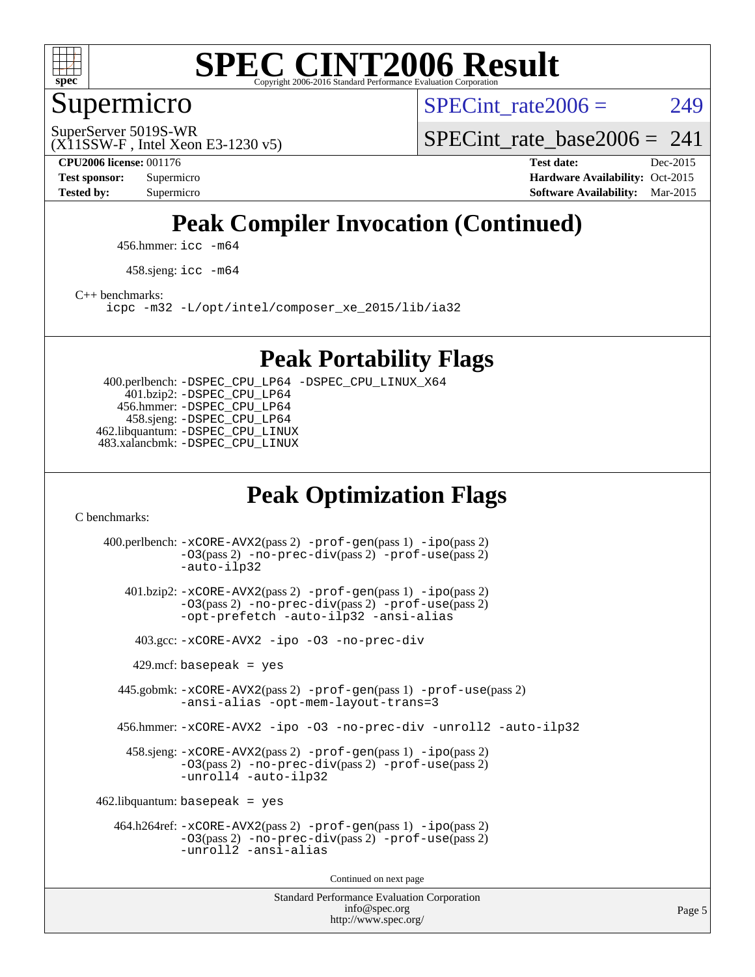

## Supermicro

SPECint rate $2006 = 249$ 

(X11SSW-F , Intel Xeon E3-1230 v5) SuperServer 5019S-WR

SPECint rate base2006 =  $241$ 

**[CPU2006 license:](http://www.spec.org/auto/cpu2006/Docs/result-fields.html#CPU2006license)** 001176 **[Test date:](http://www.spec.org/auto/cpu2006/Docs/result-fields.html#Testdate)** Dec-2015 **[Test sponsor:](http://www.spec.org/auto/cpu2006/Docs/result-fields.html#Testsponsor)** Supermicro **[Hardware Availability:](http://www.spec.org/auto/cpu2006/Docs/result-fields.html#HardwareAvailability)** Oct-2015 **[Tested by:](http://www.spec.org/auto/cpu2006/Docs/result-fields.html#Testedby)** Supermicro **Supermicro [Software Availability:](http://www.spec.org/auto/cpu2006/Docs/result-fields.html#SoftwareAvailability)** Mar-2015

# **[Peak Compiler Invocation \(Continued\)](http://www.spec.org/auto/cpu2006/Docs/result-fields.html#PeakCompilerInvocation)**

456.hmmer: [icc -m64](http://www.spec.org/cpu2006/results/res2016q1/cpu2006-20151217-38472.flags.html#user_peakCCLD456_hmmer_intel_icc_64bit_bda6cc9af1fdbb0edc3795bac97ada53)

458.sjeng: [icc -m64](http://www.spec.org/cpu2006/results/res2016q1/cpu2006-20151217-38472.flags.html#user_peakCCLD458_sjeng_intel_icc_64bit_bda6cc9af1fdbb0edc3795bac97ada53)

[C++ benchmarks:](http://www.spec.org/auto/cpu2006/Docs/result-fields.html#CXXbenchmarks)

[icpc -m32 -L/opt/intel/composer\\_xe\\_2015/lib/ia32](http://www.spec.org/cpu2006/results/res2016q1/cpu2006-20151217-38472.flags.html#user_CXXpeak_intel_icpc_c2c99686a1a582c3e0de0b4806b02cea)

### **[Peak Portability Flags](http://www.spec.org/auto/cpu2006/Docs/result-fields.html#PeakPortabilityFlags)**

 400.perlbench: [-DSPEC\\_CPU\\_LP64](http://www.spec.org/cpu2006/results/res2016q1/cpu2006-20151217-38472.flags.html#b400.perlbench_peakCPORTABILITY_DSPEC_CPU_LP64) [-DSPEC\\_CPU\\_LINUX\\_X64](http://www.spec.org/cpu2006/results/res2016q1/cpu2006-20151217-38472.flags.html#b400.perlbench_peakCPORTABILITY_DSPEC_CPU_LINUX_X64) 401.bzip2: [-DSPEC\\_CPU\\_LP64](http://www.spec.org/cpu2006/results/res2016q1/cpu2006-20151217-38472.flags.html#suite_peakCPORTABILITY401_bzip2_DSPEC_CPU_LP64) 456.hmmer: [-DSPEC\\_CPU\\_LP64](http://www.spec.org/cpu2006/results/res2016q1/cpu2006-20151217-38472.flags.html#suite_peakCPORTABILITY456_hmmer_DSPEC_CPU_LP64) 458.sjeng: [-DSPEC\\_CPU\\_LP64](http://www.spec.org/cpu2006/results/res2016q1/cpu2006-20151217-38472.flags.html#suite_peakCPORTABILITY458_sjeng_DSPEC_CPU_LP64) 462.libquantum: [-DSPEC\\_CPU\\_LINUX](http://www.spec.org/cpu2006/results/res2016q1/cpu2006-20151217-38472.flags.html#b462.libquantum_peakCPORTABILITY_DSPEC_CPU_LINUX) 483.xalancbmk: [-DSPEC\\_CPU\\_LINUX](http://www.spec.org/cpu2006/results/res2016q1/cpu2006-20151217-38472.flags.html#b483.xalancbmk_peakCXXPORTABILITY_DSPEC_CPU_LINUX)

# **[Peak Optimization Flags](http://www.spec.org/auto/cpu2006/Docs/result-fields.html#PeakOptimizationFlags)**

[C benchmarks](http://www.spec.org/auto/cpu2006/Docs/result-fields.html#Cbenchmarks):

Standard Performance Evaluation Corporation [info@spec.org](mailto:info@spec.org) 400.perlbench: [-xCORE-AVX2](http://www.spec.org/cpu2006/results/res2016q1/cpu2006-20151217-38472.flags.html#user_peakPASS2_CFLAGSPASS2_LDCFLAGS400_perlbench_f-xAVX2_5f5fc0cbe2c9f62c816d3e45806c70d7)(pass 2) [-prof-gen](http://www.spec.org/cpu2006/results/res2016q1/cpu2006-20151217-38472.flags.html#user_peakPASS1_CFLAGSPASS1_LDCFLAGS400_perlbench_prof_gen_e43856698f6ca7b7e442dfd80e94a8fc)(pass 1) [-ipo](http://www.spec.org/cpu2006/results/res2016q1/cpu2006-20151217-38472.flags.html#user_peakPASS2_CFLAGSPASS2_LDCFLAGS400_perlbench_f-ipo)(pass 2) [-O3](http://www.spec.org/cpu2006/results/res2016q1/cpu2006-20151217-38472.flags.html#user_peakPASS2_CFLAGSPASS2_LDCFLAGS400_perlbench_f-O3)(pass 2) [-no-prec-div](http://www.spec.org/cpu2006/results/res2016q1/cpu2006-20151217-38472.flags.html#user_peakPASS2_CFLAGSPASS2_LDCFLAGS400_perlbench_f-no-prec-div)(pass 2) [-prof-use](http://www.spec.org/cpu2006/results/res2016q1/cpu2006-20151217-38472.flags.html#user_peakPASS2_CFLAGSPASS2_LDCFLAGS400_perlbench_prof_use_bccf7792157ff70d64e32fe3e1250b55)(pass 2) [-auto-ilp32](http://www.spec.org/cpu2006/results/res2016q1/cpu2006-20151217-38472.flags.html#user_peakCOPTIMIZE400_perlbench_f-auto-ilp32) 401.bzip2: [-xCORE-AVX2](http://www.spec.org/cpu2006/results/res2016q1/cpu2006-20151217-38472.flags.html#user_peakPASS2_CFLAGSPASS2_LDCFLAGS401_bzip2_f-xAVX2_5f5fc0cbe2c9f62c816d3e45806c70d7)(pass 2) [-prof-gen](http://www.spec.org/cpu2006/results/res2016q1/cpu2006-20151217-38472.flags.html#user_peakPASS1_CFLAGSPASS1_LDCFLAGS401_bzip2_prof_gen_e43856698f6ca7b7e442dfd80e94a8fc)(pass 1) [-ipo](http://www.spec.org/cpu2006/results/res2016q1/cpu2006-20151217-38472.flags.html#user_peakPASS2_CFLAGSPASS2_LDCFLAGS401_bzip2_f-ipo)(pass 2) [-O3](http://www.spec.org/cpu2006/results/res2016q1/cpu2006-20151217-38472.flags.html#user_peakPASS2_CFLAGSPASS2_LDCFLAGS401_bzip2_f-O3)(pass 2) [-no-prec-div](http://www.spec.org/cpu2006/results/res2016q1/cpu2006-20151217-38472.flags.html#user_peakPASS2_CFLAGSPASS2_LDCFLAGS401_bzip2_f-no-prec-div)(pass 2) [-prof-use](http://www.spec.org/cpu2006/results/res2016q1/cpu2006-20151217-38472.flags.html#user_peakPASS2_CFLAGSPASS2_LDCFLAGS401_bzip2_prof_use_bccf7792157ff70d64e32fe3e1250b55)(pass 2) [-opt-prefetch](http://www.spec.org/cpu2006/results/res2016q1/cpu2006-20151217-38472.flags.html#user_peakCOPTIMIZE401_bzip2_f-opt-prefetch) [-auto-ilp32](http://www.spec.org/cpu2006/results/res2016q1/cpu2006-20151217-38472.flags.html#user_peakCOPTIMIZE401_bzip2_f-auto-ilp32) [-ansi-alias](http://www.spec.org/cpu2006/results/res2016q1/cpu2006-20151217-38472.flags.html#user_peakCOPTIMIZE401_bzip2_f-ansi-alias) 403.gcc: [-xCORE-AVX2](http://www.spec.org/cpu2006/results/res2016q1/cpu2006-20151217-38472.flags.html#user_peakCOPTIMIZE403_gcc_f-xAVX2_5f5fc0cbe2c9f62c816d3e45806c70d7) [-ipo](http://www.spec.org/cpu2006/results/res2016q1/cpu2006-20151217-38472.flags.html#user_peakCOPTIMIZE403_gcc_f-ipo) [-O3](http://www.spec.org/cpu2006/results/res2016q1/cpu2006-20151217-38472.flags.html#user_peakCOPTIMIZE403_gcc_f-O3) [-no-prec-div](http://www.spec.org/cpu2006/results/res2016q1/cpu2006-20151217-38472.flags.html#user_peakCOPTIMIZE403_gcc_f-no-prec-div)  $429$ .mcf: basepeak = yes 445.gobmk: [-xCORE-AVX2](http://www.spec.org/cpu2006/results/res2016q1/cpu2006-20151217-38472.flags.html#user_peakPASS2_CFLAGSPASS2_LDCFLAGS445_gobmk_f-xAVX2_5f5fc0cbe2c9f62c816d3e45806c70d7)(pass 2) [-prof-gen](http://www.spec.org/cpu2006/results/res2016q1/cpu2006-20151217-38472.flags.html#user_peakPASS1_CFLAGSPASS1_LDCFLAGS445_gobmk_prof_gen_e43856698f6ca7b7e442dfd80e94a8fc)(pass 1) [-prof-use](http://www.spec.org/cpu2006/results/res2016q1/cpu2006-20151217-38472.flags.html#user_peakPASS2_CFLAGSPASS2_LDCFLAGS445_gobmk_prof_use_bccf7792157ff70d64e32fe3e1250b55)(pass 2) [-ansi-alias](http://www.spec.org/cpu2006/results/res2016q1/cpu2006-20151217-38472.flags.html#user_peakCOPTIMIZE445_gobmk_f-ansi-alias) [-opt-mem-layout-trans=3](http://www.spec.org/cpu2006/results/res2016q1/cpu2006-20151217-38472.flags.html#user_peakCOPTIMIZE445_gobmk_f-opt-mem-layout-trans_a7b82ad4bd7abf52556d4961a2ae94d5) 456.hmmer: [-xCORE-AVX2](http://www.spec.org/cpu2006/results/res2016q1/cpu2006-20151217-38472.flags.html#user_peakCOPTIMIZE456_hmmer_f-xAVX2_5f5fc0cbe2c9f62c816d3e45806c70d7) [-ipo](http://www.spec.org/cpu2006/results/res2016q1/cpu2006-20151217-38472.flags.html#user_peakCOPTIMIZE456_hmmer_f-ipo) [-O3](http://www.spec.org/cpu2006/results/res2016q1/cpu2006-20151217-38472.flags.html#user_peakCOPTIMIZE456_hmmer_f-O3) [-no-prec-div](http://www.spec.org/cpu2006/results/res2016q1/cpu2006-20151217-38472.flags.html#user_peakCOPTIMIZE456_hmmer_f-no-prec-div) [-unroll2](http://www.spec.org/cpu2006/results/res2016q1/cpu2006-20151217-38472.flags.html#user_peakCOPTIMIZE456_hmmer_f-unroll_784dae83bebfb236979b41d2422d7ec2) [-auto-ilp32](http://www.spec.org/cpu2006/results/res2016q1/cpu2006-20151217-38472.flags.html#user_peakCOPTIMIZE456_hmmer_f-auto-ilp32) 458.sjeng: [-xCORE-AVX2](http://www.spec.org/cpu2006/results/res2016q1/cpu2006-20151217-38472.flags.html#user_peakPASS2_CFLAGSPASS2_LDCFLAGS458_sjeng_f-xAVX2_5f5fc0cbe2c9f62c816d3e45806c70d7)(pass 2) [-prof-gen](http://www.spec.org/cpu2006/results/res2016q1/cpu2006-20151217-38472.flags.html#user_peakPASS1_CFLAGSPASS1_LDCFLAGS458_sjeng_prof_gen_e43856698f6ca7b7e442dfd80e94a8fc)(pass 1) [-ipo](http://www.spec.org/cpu2006/results/res2016q1/cpu2006-20151217-38472.flags.html#user_peakPASS2_CFLAGSPASS2_LDCFLAGS458_sjeng_f-ipo)(pass 2) [-O3](http://www.spec.org/cpu2006/results/res2016q1/cpu2006-20151217-38472.flags.html#user_peakPASS2_CFLAGSPASS2_LDCFLAGS458_sjeng_f-O3)(pass 2) [-no-prec-div](http://www.spec.org/cpu2006/results/res2016q1/cpu2006-20151217-38472.flags.html#user_peakPASS2_CFLAGSPASS2_LDCFLAGS458_sjeng_f-no-prec-div)(pass 2) [-prof-use](http://www.spec.org/cpu2006/results/res2016q1/cpu2006-20151217-38472.flags.html#user_peakPASS2_CFLAGSPASS2_LDCFLAGS458_sjeng_prof_use_bccf7792157ff70d64e32fe3e1250b55)(pass 2) [-unroll4](http://www.spec.org/cpu2006/results/res2016q1/cpu2006-20151217-38472.flags.html#user_peakCOPTIMIZE458_sjeng_f-unroll_4e5e4ed65b7fd20bdcd365bec371b81f) [-auto-ilp32](http://www.spec.org/cpu2006/results/res2016q1/cpu2006-20151217-38472.flags.html#user_peakCOPTIMIZE458_sjeng_f-auto-ilp32)  $462$ .libquantum: basepeak = yes 464.h264ref: [-xCORE-AVX2](http://www.spec.org/cpu2006/results/res2016q1/cpu2006-20151217-38472.flags.html#user_peakPASS2_CFLAGSPASS2_LDCFLAGS464_h264ref_f-xAVX2_5f5fc0cbe2c9f62c816d3e45806c70d7)(pass 2) [-prof-gen](http://www.spec.org/cpu2006/results/res2016q1/cpu2006-20151217-38472.flags.html#user_peakPASS1_CFLAGSPASS1_LDCFLAGS464_h264ref_prof_gen_e43856698f6ca7b7e442dfd80e94a8fc)(pass 1) [-ipo](http://www.spec.org/cpu2006/results/res2016q1/cpu2006-20151217-38472.flags.html#user_peakPASS2_CFLAGSPASS2_LDCFLAGS464_h264ref_f-ipo)(pass 2) [-O3](http://www.spec.org/cpu2006/results/res2016q1/cpu2006-20151217-38472.flags.html#user_peakPASS2_CFLAGSPASS2_LDCFLAGS464_h264ref_f-O3)(pass 2) [-no-prec-div](http://www.spec.org/cpu2006/results/res2016q1/cpu2006-20151217-38472.flags.html#user_peakPASS2_CFLAGSPASS2_LDCFLAGS464_h264ref_f-no-prec-div)(pass 2) [-prof-use](http://www.spec.org/cpu2006/results/res2016q1/cpu2006-20151217-38472.flags.html#user_peakPASS2_CFLAGSPASS2_LDCFLAGS464_h264ref_prof_use_bccf7792157ff70d64e32fe3e1250b55)(pass 2) [-unroll2](http://www.spec.org/cpu2006/results/res2016q1/cpu2006-20151217-38472.flags.html#user_peakCOPTIMIZE464_h264ref_f-unroll_784dae83bebfb236979b41d2422d7ec2) [-ansi-alias](http://www.spec.org/cpu2006/results/res2016q1/cpu2006-20151217-38472.flags.html#user_peakCOPTIMIZE464_h264ref_f-ansi-alias) Continued on next page

<http://www.spec.org/>